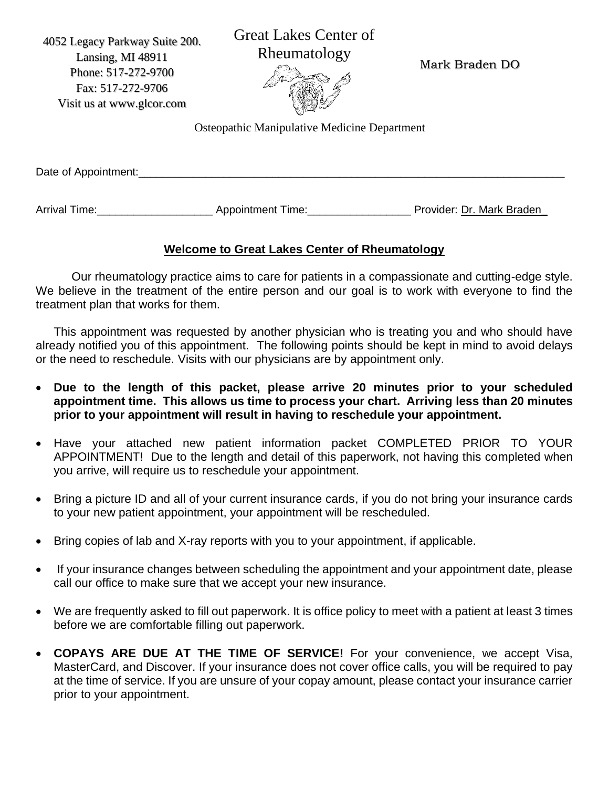4052 Legacy Parkway Suite 200. Lansing, MI 48911 Phone: 517-272-9700 Fax: 517-272-9706 Visit us at www.glcor.com

Great Lakes Center of Rheumatology

Mark Braden DO



Osteopathic Manipulative Medicine Department

| Date of Appointment: |  |  |  |
|----------------------|--|--|--|
|                      |  |  |  |

Arrival Time: etc. Appointment Time: etc. And Provider: Dr. Mark Braden

# **Welcome to Great Lakes Center of Rheumatology**

Our rheumatology practice aims to care for patients in a compassionate and cutting-edge style. We believe in the treatment of the entire person and our goal is to work with everyone to find the treatment plan that works for them.

This appointment was requested by another physician who is treating you and who should have already notified you of this appointment. The following points should be kept in mind to avoid delays or the need to reschedule. Visits with our physicians are by appointment only.

- **Due to the length of this packet, please arrive 20 minutes prior to your scheduled appointment time. This allows us time to process your chart. Arriving less than 20 minutes prior to your appointment will result in having to reschedule your appointment.**
- Have your attached new patient information packet COMPLETED PRIOR TO YOUR APPOINTMENT! Due to the length and detail of this paperwork, not having this completed when you arrive, will require us to reschedule your appointment.
- Bring a picture ID and all of your current insurance cards, if you do not bring your insurance cards to your new patient appointment, your appointment will be rescheduled.
- Bring copies of lab and X-ray reports with you to your appointment, if applicable.
- If your insurance changes between scheduling the appointment and your appointment date, please call our office to make sure that we accept your new insurance.
- We are frequently asked to fill out paperwork. It is office policy to meet with a patient at least 3 times before we are comfortable filling out paperwork.
- **COPAYS ARE DUE AT THE TIME OF SERVICE!** For your convenience, we accept Visa, MasterCard, and Discover. If your insurance does not cover office calls, you will be required to pay at the time of service. If you are unsure of your copay amount, please contact your insurance carrier prior to your appointment.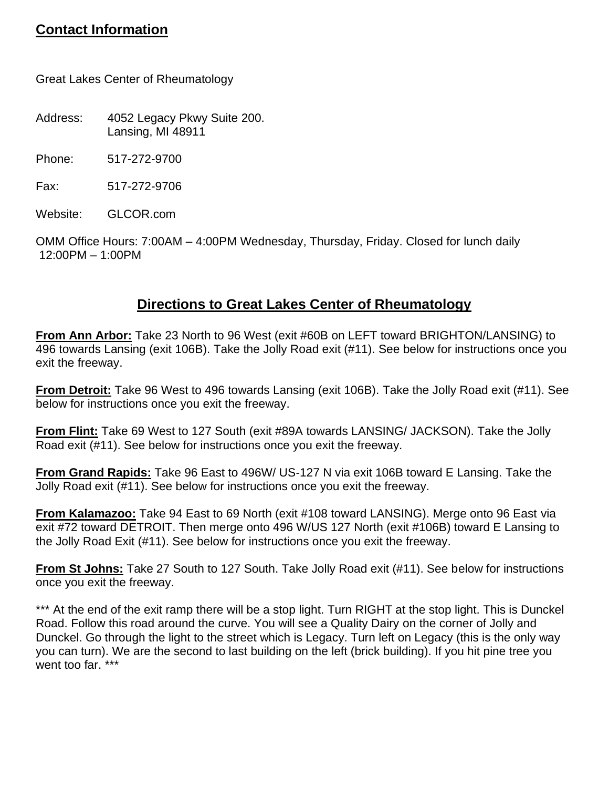# **Contact Information**

Great Lakes Center of Rheumatology

Address: 4052 Legacy Pkwy Suite 200. Lansing, MI 48911

Phone: 517-272-9700

Fax: 517-272-9706

Website: GLCOR.com

OMM Office Hours: 7:00AM – 4:00PM Wednesday, Thursday, Friday. Closed for lunch daily 12:00PM – 1:00PM

# **Directions to Great Lakes Center of Rheumatology**

**From Ann Arbor:** Take 23 North to 96 West (exit #60B on LEFT toward BRIGHTON/LANSING) to 496 towards Lansing (exit 106B). Take the Jolly Road exit (#11). See below for instructions once you exit the freeway.

**From Detroit:** Take 96 West to 496 towards Lansing (exit 106B). Take the Jolly Road exit (#11). See below for instructions once you exit the freeway.

**From Flint:** Take 69 West to 127 South (exit #89A towards LANSING/ JACKSON). Take the Jolly Road exit (#11). See below for instructions once you exit the freeway.

**From Grand Rapids:** Take 96 East to 496W/ US-127 N via exit 106B toward E Lansing. Take the Jolly Road exit (#11). See below for instructions once you exit the freeway.

**From Kalamazoo:** Take 94 East to 69 North (exit #108 toward LANSING). Merge onto 96 East via exit #72 toward DETROIT. Then merge onto 496 W/US 127 North (exit #106B) toward E Lansing to the Jolly Road Exit (#11). See below for instructions once you exit the freeway.

**From St Johns:** Take 27 South to 127 South. Take Jolly Road exit (#11). See below for instructions once you exit the freeway.

\*\*\* At the end of the exit ramp there will be a stop light. Turn RIGHT at the stop light. This is Dunckel Road. Follow this road around the curve. You will see a Quality Dairy on the corner of Jolly and Dunckel. Go through the light to the street which is Legacy. Turn left on Legacy (this is the only way you can turn). We are the second to last building on the left (brick building). If you hit pine tree you went too far. \*\*\*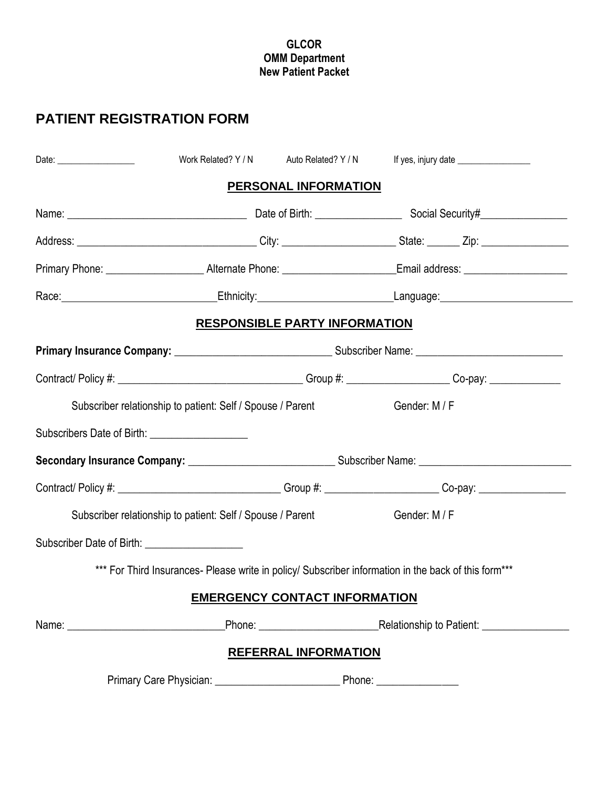#### **GLCOR OMM Department New Patient Packet**

# **PATIENT REGISTRATION FORM**

|                                                                                                                | Work Related? Y / N Auto Related? Y / N                    |                             |                                                                                                      |  |
|----------------------------------------------------------------------------------------------------------------|------------------------------------------------------------|-----------------------------|------------------------------------------------------------------------------------------------------|--|
|                                                                                                                |                                                            | PERSONAL INFORMATION        |                                                                                                      |  |
|                                                                                                                |                                                            |                             |                                                                                                      |  |
|                                                                                                                |                                                            |                             |                                                                                                      |  |
|                                                                                                                |                                                            |                             |                                                                                                      |  |
|                                                                                                                |                                                            |                             |                                                                                                      |  |
|                                                                                                                | <b>RESPONSIBLE PARTY INFORMATION</b>                       |                             |                                                                                                      |  |
|                                                                                                                |                                                            |                             |                                                                                                      |  |
|                                                                                                                |                                                            |                             |                                                                                                      |  |
|                                                                                                                | Subscriber relationship to patient: Self / Spouse / Parent |                             | Gender: M / F                                                                                        |  |
|                                                                                                                |                                                            |                             |                                                                                                      |  |
|                                                                                                                |                                                            |                             |                                                                                                      |  |
| Contract/ Policy #: _________________________________Group #: _____________________Co-pay: ___________________ |                                                            |                             |                                                                                                      |  |
|                                                                                                                | Subscriber relationship to patient: Self / Spouse / Parent |                             | Gender: M / F                                                                                        |  |
| Subscriber Date of Birth: ____________________                                                                 |                                                            |                             |                                                                                                      |  |
|                                                                                                                |                                                            |                             | *** For Third Insurances- Please write in policy/ Subscriber information in the back of this form*** |  |
|                                                                                                                | <b>EMERGENCY CONTACT INFORMATION</b>                       |                             |                                                                                                      |  |
|                                                                                                                |                                                            |                             |                                                                                                      |  |
|                                                                                                                |                                                            | <b>REFERRAL INFORMATION</b> |                                                                                                      |  |
|                                                                                                                |                                                            |                             | Phone: ________________                                                                              |  |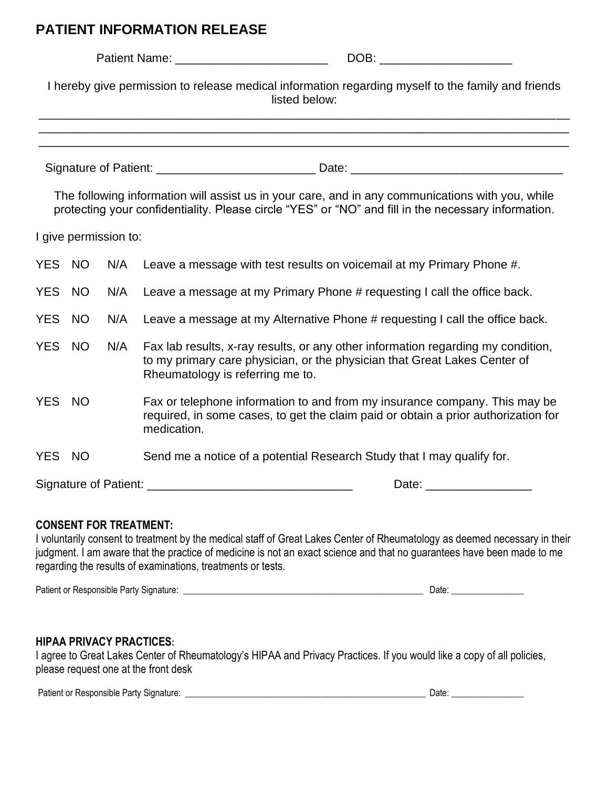# **PATIENT INFORMATION RELEASE**

|            |           |                       | DOB: the contract of the contract of the contract of the contract of the contract of the contract of the contract of the contract of the contract of the contract of the contract of the contract of the contract of the contr |
|------------|-----------|-----------------------|--------------------------------------------------------------------------------------------------------------------------------------------------------------------------------------------------------------------------------|
|            |           |                       | I hereby give permission to release medical information regarding myself to the family and friends<br>listed below:                                                                                                            |
|            |           |                       |                                                                                                                                                                                                                                |
|            |           |                       | The following information will assist us in your care, and in any communications with you, while<br>protecting your confidentiality. Please circle "YES" or "NO" and fill in the necessary information.                        |
|            |           | I give permission to: |                                                                                                                                                                                                                                |
| YES NO     |           | N/A                   | Leave a message with test results on voicemail at my Primary Phone #.                                                                                                                                                          |
| <b>YES</b> | <b>NO</b> | N/A                   | Leave a message at my Primary Phone # requesting I call the office back.                                                                                                                                                       |
| YES NO     |           | N/A                   | Leave a message at my Alternative Phone # requesting I call the office back.                                                                                                                                                   |
| <b>YES</b> | <b>NO</b> | N/A                   | Fax lab results, x-ray results, or any other information regarding my condition,<br>to my primary care physician, or the physician that Great Lakes Center of<br>Rheumatology is referring me to.                              |
| YES NO     |           |                       | Fax or telephone information to and from my insurance company. This may be<br>required, in some cases, to get the claim paid or obtain a prior authorization for<br>medication.                                                |
| YES NO     |           |                       | Send me a notice of a potential Research Study that I may qualify for.                                                                                                                                                         |
|            |           |                       | Date: <u>____________________</u>                                                                                                                                                                                              |

#### **CONSENT FOR TREATMENT:**

I voluntarily consent to treatment by the medical staff of Great Lakes Center of Rheumatology as deemed necessary in their judgment. I am aware that the practice of medicine is not an exact science and that no guarantees have been made to me regarding the results of examinations, treatments or tests.

| Patient or<br>Signature<br>Responsible<br>Partv J<br>n. |  | Date |
|---------------------------------------------------------|--|------|
|---------------------------------------------------------|--|------|

#### **HIPAA PRIVACY PRACTICES:**

I agree to Great Lakes Center of Rheumatology's HIPAA and Privacy Practices. If you would like a copy of all policies, please request one at the front desk

Patient or Responsible Party Signature: \_\_\_\_\_\_\_\_\_\_\_\_\_\_\_\_\_\_\_\_\_\_\_\_\_\_\_\_\_\_\_\_\_\_\_\_\_\_\_\_\_\_\_\_\_\_\_\_\_\_\_\_\_ Date: \_\_\_\_\_\_\_\_\_\_\_\_\_\_\_\_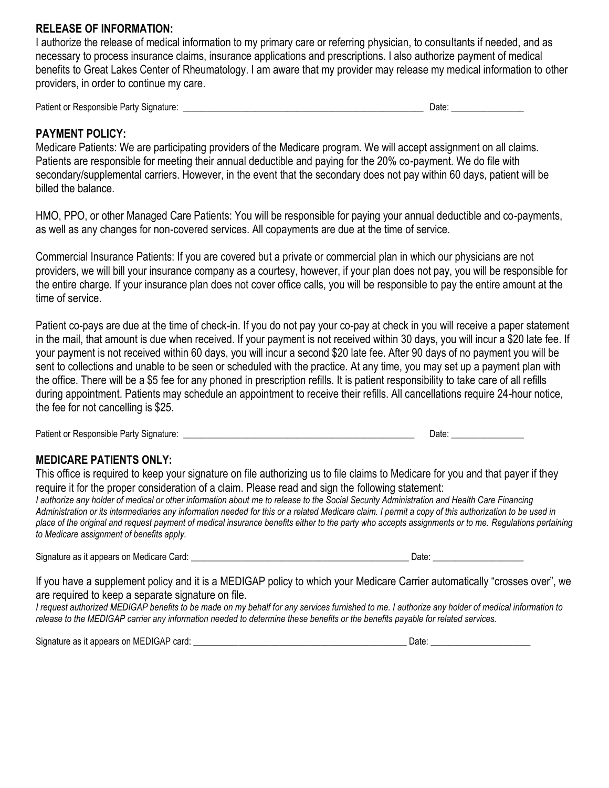#### **RELEASE OF INFORMATION:**

I authorize the release of medical information to my primary care or referring physician, to consultants if needed, and as necessary to process insurance claims, insurance applications and prescriptions. I also authorize payment of medical benefits to Great Lakes Center of Rheumatology. I am aware that my provider may release my medical information to other providers, in order to continue my care.

Patient or Responsible Party Signature: \_\_\_\_\_\_\_\_\_\_\_\_\_\_\_\_\_\_\_\_\_\_\_\_\_\_\_\_\_\_\_\_\_\_\_\_\_\_\_\_\_\_\_\_\_\_\_\_\_\_\_\_\_ Date: \_\_\_\_\_\_\_\_\_\_\_\_\_\_\_\_

#### **PAYMENT POLICY:**

Medicare Patients: We are participating providers of the Medicare program. We will accept assignment on all claims. Patients are responsible for meeting their annual deductible and paying for the 20% co-payment. We do file with secondary/supplemental carriers. However, in the event that the secondary does not pay within 60 days, patient will be billed the balance.

HMO, PPO, or other Managed Care Patients: You will be responsible for paying your annual deductible and co-payments, as well as any changes for non-covered services. All copayments are due at the time of service.

Commercial Insurance Patients: If you are covered but a private or commercial plan in which our physicians are not providers, we will bill your insurance company as a courtesy, however, if your plan does not pay, you will be responsible for the entire charge. If your insurance plan does not cover office calls, you will be responsible to pay the entire amount at the time of service.

Patient co-pays are due at the time of check-in. If you do not pay your co-pay at check in you will receive a paper statement in the mail, that amount is due when received. If your payment is not received within 30 days, you will incur a \$20 late fee. If your payment is not received within 60 days, you will incur a second \$20 late fee. After 90 days of no payment you will be sent to collections and unable to be seen or scheduled with the practice. At any time, you may set up a payment plan with the office. There will be a \$5 fee for any phoned in prescription refills. It is patient responsibility to take care of all refills during appointment. Patients may schedule an appointment to receive their refills. All cancellations require 24-hour notice, the fee for not cancelling is \$25.

Patient or Responsible Party Signature: \_\_\_\_\_\_\_\_\_\_\_\_\_\_\_\_\_\_\_\_\_\_\_\_\_\_\_\_\_\_\_\_\_\_\_\_\_\_\_\_\_\_\_\_\_\_\_\_\_\_\_ Date: \_\_\_\_\_\_\_\_\_\_\_\_\_\_\_\_

## **MEDICARE PATIENTS ONLY:**

This office is required to keep your signature on file authorizing us to file claims to Medicare for you and that payer if they require it for the proper consideration of a claim. Please read and sign the following statement:

*I authorize any holder of medical or other information about me to release to the Social Security Administration and Health Care Financing Administration or its intermediaries any information needed for this or a related Medicare claim. I permit a copy of this authorization to be used in place of the original and request payment of medical insurance benefits either to the party who accepts assignments or to me. Regulations pertaining to Medicare assignment of benefits apply.*

Signature as it appears on Medicare Card: \_\_\_\_\_\_\_\_\_\_\_\_\_\_\_\_\_\_\_\_\_\_\_\_\_\_\_\_\_\_\_\_\_\_\_\_\_\_\_\_\_\_\_\_\_\_\_\_ Date: \_\_\_\_\_\_\_\_\_\_\_\_\_\_\_\_\_\_\_\_

If you have a supplement policy and it is a MEDIGAP policy to which your Medicare Carrier automatically "crosses over", we are required to keep a separate signature on file.

*I request authorized MEDIGAP benefits to be made on my behalf for any services furnished to me. I authorize any holder of medical information to release to the MEDIGAP carrier any information needed to determine these benefits or the benefits payable for related services.*

Signature as it appears on MEDIGAP card: \_\_\_\_\_\_\_\_\_\_\_\_\_\_\_\_\_\_\_\_\_\_\_\_\_\_\_\_\_\_\_\_\_\_\_\_\_\_\_\_\_\_\_\_\_\_\_ Date: \_\_\_\_\_\_\_\_\_\_\_\_\_\_\_\_\_\_\_\_\_\_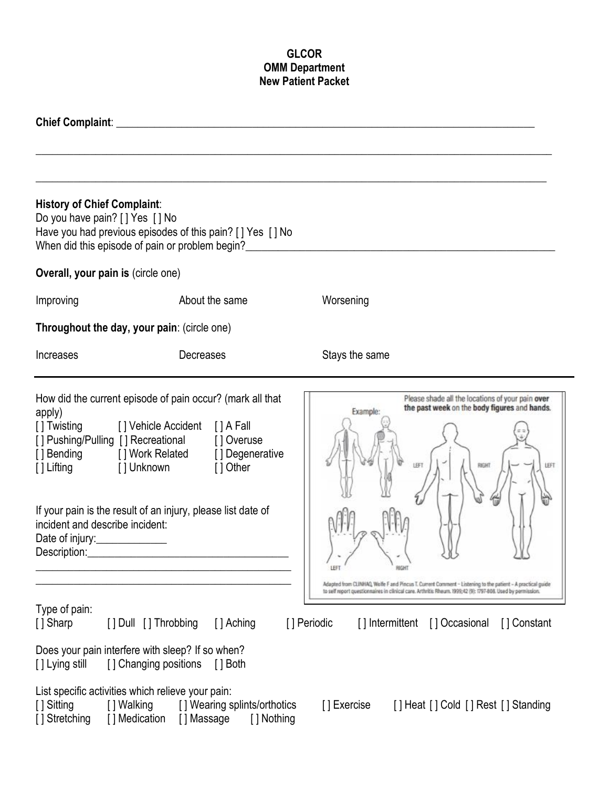## **GLCOR OMM Department New Patient Packet**

| <b>History of Chief Complaint:</b><br>Do you have pain? [ ] Yes [ ] No    | Have you had previous episodes of this pain? [] Yes [] No<br>When did this episode of pain or problem begin?                                                                                                                                                                                                                               |                                                                                                                                                                                                                                                                                                                                                                            |
|---------------------------------------------------------------------------|--------------------------------------------------------------------------------------------------------------------------------------------------------------------------------------------------------------------------------------------------------------------------------------------------------------------------------------------|----------------------------------------------------------------------------------------------------------------------------------------------------------------------------------------------------------------------------------------------------------------------------------------------------------------------------------------------------------------------------|
| Overall, your pain is (circle one)                                        |                                                                                                                                                                                                                                                                                                                                            |                                                                                                                                                                                                                                                                                                                                                                            |
| Improving                                                                 | About the same                                                                                                                                                                                                                                                                                                                             | Worsening                                                                                                                                                                                                                                                                                                                                                                  |
|                                                                           | Throughout the day, your pain: (circle one)                                                                                                                                                                                                                                                                                                |                                                                                                                                                                                                                                                                                                                                                                            |
| <b>Increases</b>                                                          | Decreases                                                                                                                                                                                                                                                                                                                                  | Stays the same                                                                                                                                                                                                                                                                                                                                                             |
| apply)<br>incident and describe incident:<br>Date of injury:_____________ | How did the current episode of pain occur? (mark all that<br>[] Twisting [] Vehicle Accident [] A Fall<br>[] Pushing/Pulling [] Recreational [] Overuse<br>[] Bending [] Work Related [] Degenerative<br>[] Lifting [] Unknown [] Other<br>If your pain is the result of an injury, please list date of<br>Description: <u>Description</u> | Please shade all the locations of your pain over<br>the past week on the body figures and hands.<br>Example:<br>LEFT<br>RIGHT<br>LEFT<br>RIGHT<br>Adapted from CLINHAQ, Wolfe F and Pincus T. Current Comment - Listening to the patient - A practical guide<br>to self report questionnaires in clinical care. Arthritis Rheum. 1999;42 (9): 1797-808. Used by permission |
| Type of pain:<br>[] Sharp<br>[ ] Lying still                              | [] Dull [] Throbbing<br>[] Aching<br>Does your pain interfere with sleep? If so when?<br>[] Changing positions<br>$\lceil$   Both                                                                                                                                                                                                          | [] Periodic<br>[] Occasional<br>[] Constant<br>[] Intermittent                                                                                                                                                                                                                                                                                                             |
| [ ] Sitting<br>Stretching                                                 | List specific activities which relieve your pain:<br>[] Walking<br>[] Wearing splints/orthotics<br>] Medication<br>[] Massage<br>[ ] Nothing                                                                                                                                                                                               | [] Exercise<br>[] Heat [] Cold [] Rest [] Standing                                                                                                                                                                                                                                                                                                                         |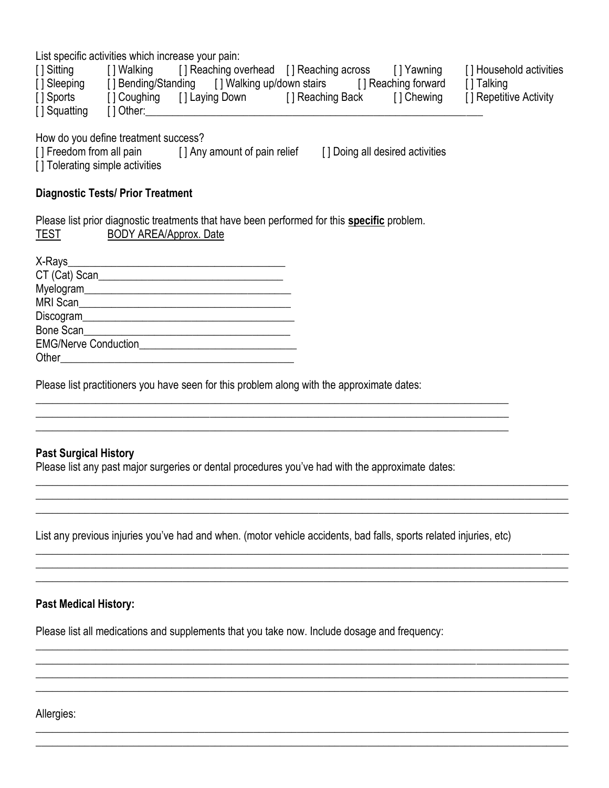List specific activities which increase your pain:

| [ ] Sitting  | [] Walking        | [] Reaching overhead [] Reaching across       |                  | l I Yawning         | [] Household activities |
|--------------|-------------------|-----------------------------------------------|------------------|---------------------|-------------------------|
| [] Sleeping  |                   | [] Bending/Standing [] Walking up/down stairs |                  | [] Reaching forward | [ ] Talking             |
| [ Sports]    | [] Coughing       | [ ] Laying Down                               | [] Reaching Back | [] Chewing          | [] Repetitive Activity  |
| [] Squatting | $\lceil$   Other: |                                               |                  |                     |                         |

How do you define treatment success?

[ ] Freedom from all pain [ ] Any amount of pain relief [ ] Doing all desired activities

[] Tolerating simple activities

#### **Diagnostic Tests/ Prior Treatment**

Please list prior diagnostic treatments that have been performed for this **specific** problem. TEST BODY AREA/Approx. Date

| CT (Cat) Scan               |  |
|-----------------------------|--|
| Myelogram______             |  |
| MRI Scan                    |  |
|                             |  |
| Bone Scan                   |  |
| <b>EMG/Nerve Conduction</b> |  |
| Other                       |  |

Please list practitioners you have seen for this problem along with the approximate dates:

## **Past Surgical History**

Please list any past major surgeries or dental procedures you've had with the approximate dates:

List any previous injuries you've had and when. (motor vehicle accidents, bad falls, sports related injuries, etc)

 $\overline{\phantom{a}}$  , and the contribution of the contribution of the contribution of the contribution of the contribution of the contribution of the contribution of the contribution of the contribution of the contribution of the  $\overline{\phantom{a}}$  , and the contribution of the contribution of the contribution of the contribution of the contribution of the contribution of the contribution of the contribution of the contribution of the contribution of the  $\_$  , and the set of the set of the set of the set of the set of the set of the set of the set of the set of the set of the set of the set of the set of the set of the set of the set of the set of the set of the set of th

 $\_$  , and the set of the set of the set of the set of the set of the set of the set of the set of the set of the set of the set of the set of the set of the set of the set of the set of the set of the set of the set of th  $\_$  , and the set of the set of the set of the set of the set of the set of the set of the set of the set of the set of the set of the set of the set of the set of the set of the set of the set of the set of the set of th  $\_$  , and the set of the set of the set of the set of the set of the set of the set of the set of the set of the set of the set of the set of the set of the set of the set of the set of the set of the set of the set of th

 $\_$  , and the set of the set of the set of the set of the set of the set of the set of the set of the set of the set of the set of the set of the set of the set of the set of the set of the set of the set of the set of th  $\_$  , and the set of the set of the set of the set of the set of the set of the set of the set of the set of the set of the set of the set of the set of the set of the set of the set of the set of the set of the set of th  $\_$  , and the set of the set of the set of the set of the set of the set of the set of the set of the set of the set of the set of the set of the set of the set of the set of the set of the set of the set of the set of th  $\overline{\phantom{a}}$  , and the contribution of the contribution of the contribution of the contribution of the contribution of the contribution of the contribution of the contribution of the contribution of the contribution of the

 $\_$  , and the set of the set of the set of the set of the set of the set of the set of the set of the set of the set of the set of the set of the set of the set of the set of the set of the set of the set of the set of th  $\overline{\phantom{a}}$  , and the contribution of the contribution of the contribution of the contribution of the contribution of the contribution of the contribution of the contribution of the contribution of the contribution of the

\_\_\_\_\_\_\_\_\_\_\_\_\_\_\_\_\_\_\_\_\_\_\_\_\_\_\_\_\_\_\_\_\_\_\_\_\_\_\_\_\_\_\_\_\_\_\_\_\_\_\_\_\_\_\_\_\_\_\_\_\_\_\_\_\_\_\_\_\_\_\_\_\_\_\_\_\_\_\_\_\_\_\_\_\_\_\_  $\_$  , and the set of the set of the set of the set of the set of the set of the set of the set of the set of the set of the set of the set of the set of the set of the set of the set of the set of the set of the set of th \_\_\_\_\_\_\_\_\_\_\_\_\_\_\_\_\_\_\_\_\_\_\_\_\_\_\_\_\_\_\_\_\_\_\_\_\_\_\_\_\_\_\_\_\_\_\_\_\_\_\_\_\_\_\_\_\_\_\_\_\_\_\_\_\_\_\_\_\_\_\_\_\_\_\_\_\_\_\_\_\_\_\_\_\_\_\_

### **Past Medical History:**

Please list all medications and supplements that you take now. Include dosage and frequency:

Allergies: